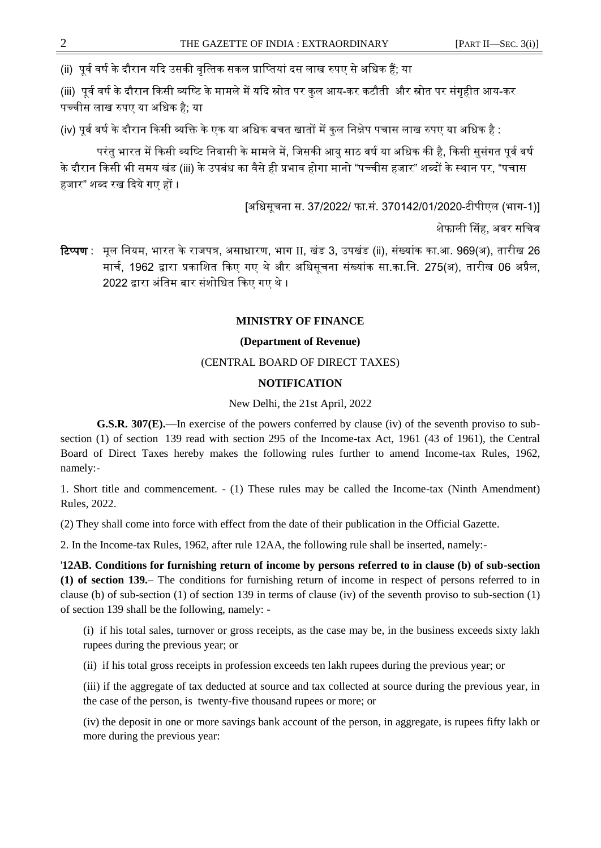## **MINISTRY OF FINANCE**

## **(Department of Revenue)**

# (CENTRAL BOARD OF DIRECT TAXES)

# **NOTIFICATION**

New Delhi, the 21st April, 2022

**G.S.R. 307(E).—**In exercise of the powers conferred by clause (iv) of the seventh proviso to subsection (1) of section 139 read with section 295 of the Income-tax Act, 1961 (43 of 1961), the Central Board of Direct Taxes hereby makes the following rules further to amend Income-tax Rules, 1962, namely:-

1. Short title and commencement. - (1) These rules may be called the Income-tax (Ninth Amendment) Rules, 2022.

(2) They shall come into force with effect from the date of their publication in the Official Gazette.

2. In the Income-tax Rules, 1962, after rule 12AA, the following rule shall be inserted, namely:-

'**12AB. Conditions for furnishing return of income by persons referred to in clause (b) of sub-section (1) of section 139.–** The conditions for furnishing return of income in respect of persons referred to in clause (b) of sub-section (1) of section 139 in terms of clause (iv) of the seventh proviso to sub-section (1) of section 139 shall be the following, namely: -

(i) if his total sales, turnover or gross receipts, as the case may be, in the business exceeds sixty lakh rupees during the previous year; or

(ii) if his total gross receipts in profession exceeds ten lakh rupees during the previous year; or

(iii) if the aggregate of tax deducted at source and tax collected at source during the previous year, in the case of the person, is twenty-five thousand rupees or more; or

(iv) the deposit in one or more savings bank account of the person, in aggregate, is rupees fifty lakh or more during the previous year: